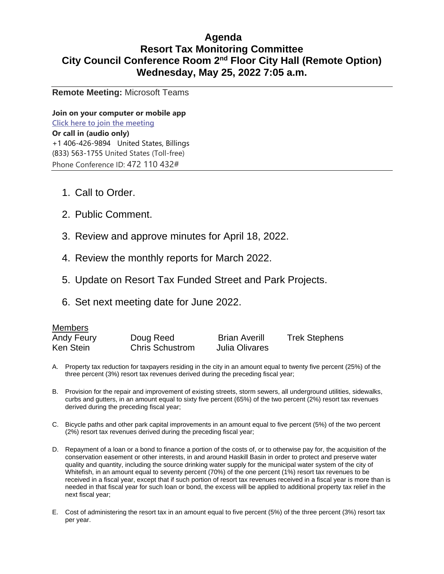### **Agenda Resort Tax Monitoring Committee City Council Conference Room 2nd Floor City Hall (Remote Option) Wednesday, May 25, 2022 7:05 a.m.**

**Remote Meeting:** Microsoft Teams

**Join on your computer or mobile app [Click here to join the meeting](https://teams.microsoft.com/l/meetup-join/19%3ameeting_ZjNkMjQ0MWYtNzEyZC00NDQzLTg1MTEtYWYyYzU1OTJjMjI1%40thread.v2/0?context=%7b%22Tid%22%3a%223c4380ae-5af2-43c9-b8ed-d34b6ce09d2b%22%2c%22Oid%22%3a%221a950eb4-1d50-487a-9a82-c43df687bdf7%22%7d) Or call in (audio only)** [+1 406-426-9894](tel:+14064269894,,107353865# ) United States, Billings [\(833\) 563-1755](tel:8335631755,,107353865# ) United States (Toll-free) Phone Conference ID: 472 110 432#

- 1. Call to Order.
- 2. Public Comment.
- 3. Review and approve minutes for April 18, 2022.
- 4. Review the monthly reports for March 2022.
- 5. Update on Resort Tax Funded Street and Park Projects.
- 6. Set next meeting date for June 2022.

| Members    |                        |                      |                      |
|------------|------------------------|----------------------|----------------------|
| Andy Feury | Doug Reed              | <b>Brian Averill</b> | <b>Trek Stephens</b> |
| Ken Stein  | <b>Chris Schustrom</b> | Julia Olivares       |                      |

- A. Property tax reduction for taxpayers residing in the city in an amount equal to twenty five percent (25%) of the three percent (3%) resort tax revenues derived during the preceding fiscal year;
- B. Provision for the repair and improvement of existing streets, storm sewers, all underground utilities, sidewalks, curbs and gutters, in an amount equal to sixty five percent (65%) of the two percent (2%) resort tax revenues derived during the preceding fiscal year;
- C. Bicycle paths and other park capital improvements in an amount equal to five percent (5%) of the two percent (2%) resort tax revenues derived during the preceding fiscal year;
- D. Repayment of a loan or a bond to finance a portion of the costs of, or to otherwise pay for, the acquisition of the conservation easement or other interests, in and around Haskill Basin in order to protect and preserve water quality and quantity, including the source drinking water supply for the municipal water system of the city of Whitefish, in an amount equal to seventy percent (70%) of the one percent (1%) resort tax revenues to be received in a fiscal year, except that if such portion of resort tax revenues received in a fiscal year is more than is needed in that fiscal year for such loan or bond, the excess will be applied to additional property tax relief in the next fiscal year;
- E. Cost of administering the resort tax in an amount equal to five percent (5%) of the three percent (3%) resort tax per year.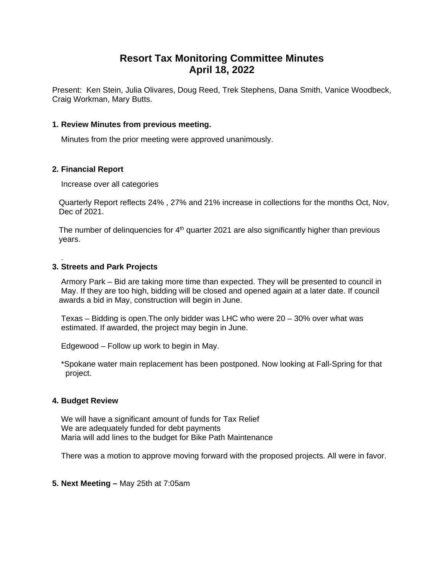### **Resort Tax Monitoring Committee Minutes April 18, 2022**

Present: Ken Stein, Julia Olivares, Doug Reed, Trek Stephens, Dana Smith, Vanice Woodbeck, Craig Workman, Mary Butts.

#### **1. Review Minutes from previous meeting.**

Minutes from the prior meeting were approved unanimously.

#### **2. Financial Report**

.

Increase over all categories

 Quarterly Report reflects 24% , 27% and 21% increase in collections for the months Oct, Nov, Dec of 2021.

The number of delinguencies for  $4<sup>th</sup>$  quarter 2021 are also significantly higher than previous years.

#### **3. Streets and Park Projects**

 Armory Park – Bid are taking more time than expected. They will be presented to council in May. If they are too high, bidding will be closed and opened again at a later date. If council awards a bid in May, construction will begin in June.

 Texas – Bidding is open.The only bidder was LHC who were 20 – 30% over what was estimated. If awarded, the project may begin in June.

Edgewood – Follow up work to begin in May.

 \*Spokane water main replacement has been postponed. Now looking at Fall-Spring for that project.

#### **4. Budget Review**

We will have a significant amount of funds for Tax Relief We are adequately funded for debt payments Maria will add lines to the budget for Bike Path Maintenance

There was a motion to approve moving forward with the proposed projects. All were in favor.

**5. Next Meeting –** May 25th at 7:05am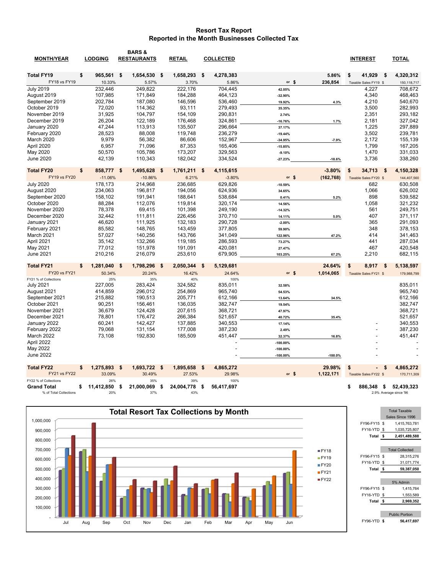#### **Resort Tax Report Reported in the Month Businesses Collected Tax**

|                                              | <b>LODGING</b>          | BARS &             |           |                         |     |                  |            |            |                       | <b>TOTAL</b>                         |
|----------------------------------------------|-------------------------|--------------------|-----------|-------------------------|-----|------------------|------------|------------|-----------------------|--------------------------------------|
| <b>MONTH/YEAR</b>                            |                         | <b>RESTAURANTS</b> |           | <b>RETAIL</b>           |     | <b>COLLECTED</b> |            |            | <b>INTEREST</b>       |                                      |
| <b>Total FY19</b>                            | \$<br>965,561           | \$<br>1,654,530    | - \$      | 1,658,293               | -\$ | 4,278,383        |            | 5.86%      | 41,929<br>S           | 4,320,312<br>\$                      |
| <b>FY18 vs FY19</b>                          | 10.33%                  |                    | 5.57%     | 3.70%                   |     | 5.86%            | or $$$     | 236,854    | Taxable Sales FY19 \$ | 150,118,717                          |
| <b>July 2019</b>                             | 232,446                 |                    | 249,822   | 222,176                 |     | 704,445          | 42.05%     |            | 4,227                 | 708,672                              |
| August 2019                                  | 107,985                 |                    | 171,849   | 184,288                 |     | 464,123          | $-32.90%$  |            | 4,340                 | 468,463                              |
| September 2019                               | 202,784                 |                    | 187.080   | 146,596                 |     | 536,460          | 19.92%     | 4.3%       | 4,210                 | 540,670                              |
| October 2019                                 | 72,020                  |                    | 114,362   | 93,111                  |     | 279,493          | 35.35%     |            | 3,500                 | 282,993                              |
| November 2019                                | 31,925                  |                    | 104,797   | 154,109                 |     | 290,831          | 2.74%      |            | 2,351                 | 293,182                              |
| December 2019                                | 26,204                  |                    | 122,189   | 176,468                 |     | 324,861          | $-16.76%$  | 1.7%       | 2,181                 | 327,042                              |
| January 2020                                 | 47,244                  |                    | 113,913   | 135,507                 |     | 296,664          | 37.17%     |            | 1,225                 | 297,889                              |
| February 2020                                | 28,523                  |                    | 88,008    | 119,748                 |     | 236,279          | $-19.44%$  |            | 3,502                 | 239,781                              |
| March 2020                                   | 9,979                   |                    | 56,382    | 86,606                  |     | 152,967          | $-34.95%$  | $-7.9%$    | 2,172                 | 155,139                              |
| April 2020                                   | 6,957                   |                    | 71,096    | 87,353                  |     | 165,406          | $-15.85%$  |            | 1,799                 | 167,205                              |
| May 2020                                     | 50,570                  |                    | 105,786   | 173,207                 |     | 329,563          | $-9.10%$   |            | 1,470                 | 331,033                              |
| <b>June 2020</b>                             | 42,139                  |                    | 110,343   | 182,042                 |     | 334,524          | $-27.23%$  | $-18.6%$   | 3,736                 | 338,260                              |
| <b>Total FY20</b>                            | \$<br>858,777           | 1,495,628<br>s.    | - \$      | 1,761,211               | \$  | 4,115,615        |            | $-3.80%$   | \$<br>34,713          | 4,150,328<br>\$                      |
| FY19 vs FY20                                 | $-11.06%$               |                    | $-10.86%$ | 6.21%                   |     | $-3.80%$         | or $$$     | (162, 768) | Taxable Sales FY20 \$ | 144,407,560                          |
| <b>July 2020</b>                             | 178,173                 |                    | 214,968   | 236.685                 |     | 629,826          | $-10.59%$  |            | 682                   | 630,508                              |
| August 2020                                  | 234,063                 |                    | 196,817   | 194,056                 |     | 624,936          | 34.65%     |            | 1,066                 | 626,002                              |
| September 2020                               | 158,102                 |                    | 191,941   | 188,641                 |     | 538,684          | 0.41%      | 5.2%       | 898                   | 539,582                              |
| October 2020                                 | 88,284                  |                    | 112,076   | 119,814                 |     | 320,174          | 14.56%     |            | 1,058                 | 321,232                              |
| November 2020                                | 78,378                  |                    | 69,415    | 101,398                 |     | 249,190          | $-14.32%$  |            | 561                   | 249,751                              |
| December 2020                                | 32,442                  |                    | 111,811   | 226,456                 |     | 370,710          | 14.11%     | 5.0%       | 407                   | 371,117                              |
| January 2021                                 | 46,620                  |                    | 111,925   | 132,183                 |     | 290,728          | $-2.00%$   |            | 365                   | 291,093                              |
| February 2021                                | 85,582                  |                    | 148,765   | 143,459                 |     | 377,805          | 59.90%     |            | 348                   | 378,153                              |
| March 2021                                   | 57,027                  |                    | 140.256   | 143.766                 |     | 341.049          | 122.96%    | 47.2%      | 414                   | 341.463                              |
| April 2021                                   | 35,142                  |                    | 132,266   | 119,185                 |     | 286,593          | 73.27%     |            | 441                   | 287,034                              |
| May 2021                                     | 77,012                  |                    | 151,978   | 191,091                 |     | 420,081          | 27.47%     |            | 467                   | 420,548                              |
| June 2021                                    | 210,216                 |                    | 216,079   | 253,610                 |     | 679,905          | 103.25%    | 67.2%      | 2,210                 | 682,115                              |
| <b>Total FY21</b>                            | \$<br>1,281,040         | 1,798,296<br>\$    | - \$      | 2,050,344               | -\$ | 5,129,681        |            | 24.64%     | \$<br>8,917           | 5,138,597<br>-\$                     |
| <b>FY20 vs FY21</b>                          | 50.34%                  |                    | 20.24%    | 16.42%                  |     | 24.64%           | or $$$     | 1,014,065  | Taxable Sales FY21 \$ | 179,988,799                          |
| FY21 % of Collections                        | 25%                     |                    | 35%       | 40%                     |     | 100%             |            |            |                       |                                      |
| <b>July 2021</b>                             | 227,005                 |                    | 283,424   | 324,582                 |     | 835,011          | 32.58%     |            |                       | 835,011                              |
| August 2021                                  | 414,859                 |                    | 296,012   | 254,869                 |     | 965,740          | 54.53%     |            |                       | 965,740                              |
| September 2021                               | 215,882                 |                    | 190,513   | 205,771                 |     | 612,166          | 13.64%     | 34.5%      |                       | 612,166                              |
| October 2021                                 | 90,251                  |                    | 156.461   | 136.035                 |     | 382,747          | 19.54%     |            |                       | 382,747                              |
| November 2021                                | 36,679                  |                    | 124,428   | 207,615                 |     | 368,721          | 47.97%     |            |                       | 368,721                              |
| December 2021                                | 78,801                  |                    | 176,472   | 266,384                 |     | 521,657          | 40.72%     | 35.4%      |                       | 521,657                              |
| January 2022                                 | 60,241                  |                    | 142,427   | 137,885                 |     | 340,553          | 17.14%     |            |                       | 340,553                              |
| February 2022                                | 79,068                  |                    | 131,154   | 177,008                 |     | 387,230          | 2.49%      |            |                       | 387,230                              |
| March 2022                                   | 73,108                  |                    | 192,830   | 185,509                 |     | 451,447          | 32.37%     | 16.8%      |                       | 451,447                              |
| April 2022                                   |                         |                    |           |                         |     |                  | $-100.00%$ |            |                       |                                      |
| May 2022                                     |                         |                    |           |                         |     |                  | $-100.00%$ |            |                       |                                      |
| <b>June 2022</b>                             |                         |                    |           |                         |     |                  | $-100.00%$ | $-100.0%$  |                       |                                      |
| <b>Total FY22</b>                            | 1,275,893<br>\$         | 1,693,722<br>\$    | - \$      | 1,895,658               | -\$ | 4,865,272        |            | 29.98%     | \$                    | 4,865,272<br>5                       |
| FY21 vs FY22                                 | 33.09%                  |                    | 30.49%    | 27.53%                  |     | 29.98%           | or $$$     | 1,122,171  | Taxable Sales FY22 \$ | 170,711,309                          |
| FY22 % of Collections                        | 26%                     | 21.000.069         | 35%       | 39%                     |     | 100%             |            |            |                       |                                      |
| <b>Grand Total</b><br>% of Total Collections | 11,412,850<br>\$<br>20% | \$                 | 37%       | 24,004,778<br>\$<br>43% | \$  | 56,417,697       |            |            | 886.348<br>- \$<br>\$ | 52,439,323<br>2.9% Average since '96 |
|                                              |                         |                    |           |                         |     |                  |            |            |                       |                                      |

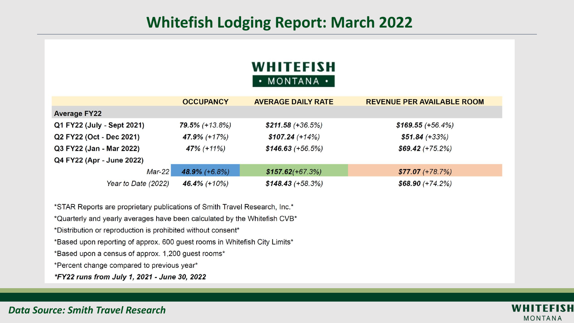## **Whitefish Lodging Report: March 2022**

### **WHITEFISH** · MONTANA ·

|                            | <b>OCCUPANCY</b>  | <b>AVERAGE DAILY RATE</b> | <b>REVENUE PER AVAILABLE ROOM</b> |
|----------------------------|-------------------|---------------------------|-----------------------------------|
| <b>Average FY22</b>        |                   |                           |                                   |
| Q1 FY22 (July - Sept 2021) | $79.5\%$ (+13.8%) | $$211.58 (+36.5%)$        | $$169.55 (+56.4%)$                |
| Q2 FY22 (Oct - Dec 2021)   | 47.9% (+17%)      | $$107.24 (+14%)$          | $$51.84 (+33%)$                   |
| Q3 FY22 (Jan - Mar 2022)   | $47\%$ (+11%)     | $$146.63 (+56.5%)$        | $$69.42 (+75.2%)$                 |
| Q4 FY22 (Apr - June 2022)  |                   |                           |                                   |
| $Mar-22$                   | $48.9\%$ (+6.8%)  | $$157.62(+67.3%)$         | $$77.07 (+78.7%)$                 |
| Year to Date (2022)        | 46.4% (+10%)      | $$148.43 (+58.3%)$        | $$68.90 (+74.2%)$                 |

\*STAR Reports are proprietary publications of Smith Travel Research, Inc.\* \*Quarterly and yearly averages have been calculated by the Whitefish CVB\* \*Distribution or reproduction is prohibited without consent\* \*Based upon reporting of approx. 600 guest rooms in Whitefish City Limits\* \*Based upon a census of approx. 1,200 guest rooms\* \*Percent change compared to previous year\* \*FY22 runs from July 1, 2021 - June 30, 2022



*Data Source: Smith Travel Research*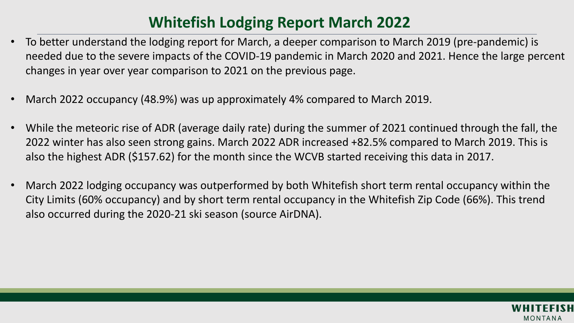# **Whitefish Lodging Report March 2022**

- To better understand the lodging report for March, a deeper comparison to March 2019 (pre-pandemic) is needed due to the severe impacts of the COVID-19 pandemic in March 2020 and 2021. Hence the large percent changes in year over year comparison to 2021 on the previous page.
- March 2022 occupancy (48.9%) was up approximately 4% compared to March 2019.
- While the meteoric rise of ADR (average daily rate) during the summer of 2021 continued through the fall, the 2022 winter has also seen strong gains. March 2022 ADR increased +82.5% compared to March 2019. This is also the highest ADR (\$157.62) for the month since the WCVB started receiving this data in 2017.
- March 2022 lodging occupancy was outperformed by both Whitefish short term rental occupancy within the City Limits (60% occupancy) and by short term rental occupancy in the Whitefish Zip Code (66%). This trend also occurred during the 2020-21 ski season (source AirDNA).

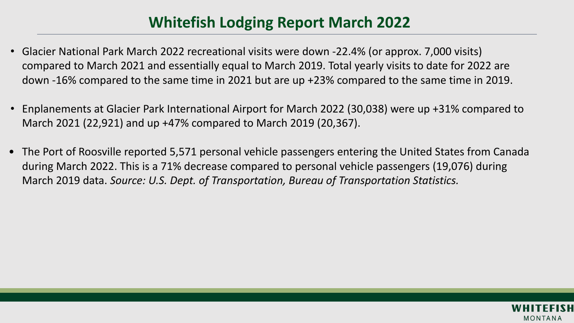# **Whitefish Lodging Report March 2022**

- Glacier National Park March 2022 recreational visits were down -22.4% (or approx. 7,000 visits) compared to March 2021 and essentially equal to March 2019. Total yearly visits to date for 2022 are down -16% compared to the same time in 2021 but are up +23% compared to the same time in 2019.
- Enplanements at Glacier Park International Airport for March 2022 (30,038) were up +31% compared to March 2021 (22,921) and up +47% compared to March 2019 (20,367).
- The Port of Roosville reported 5,571 personal vehicle passengers entering the United States from Canada during March 2022. This is a 71% decrease compared to personal vehicle passengers (19,076) during March 2019 data. *Source: U.S. Dept. of Transportation, Bureau of Transportation Statistics.*

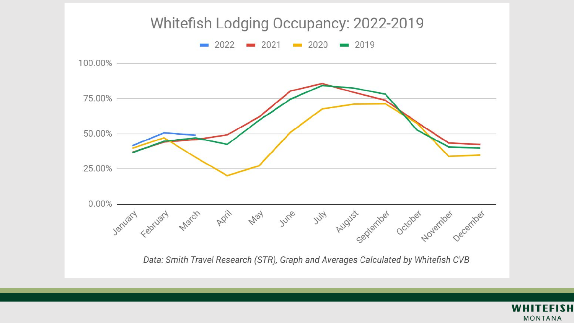

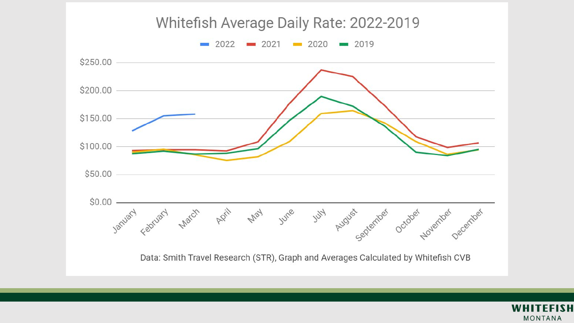

Data: Smith Travel Research (STR), Graph and Averages Calculated by Whitefish CVB

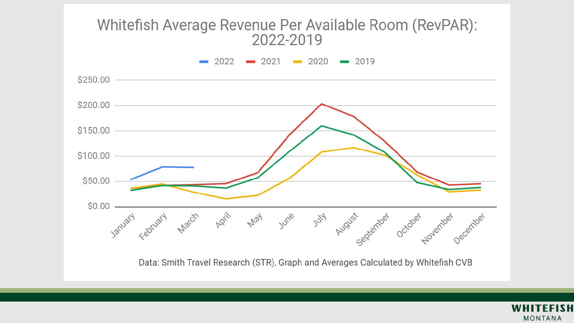